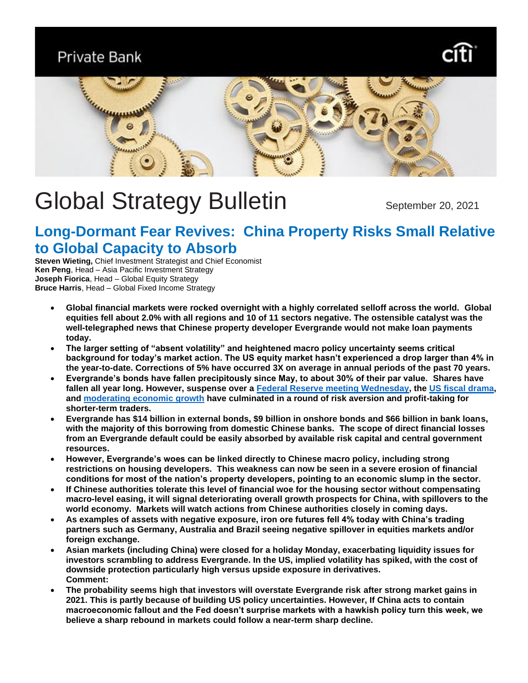**Private Bank** 





# Global Strategy Bulletin September 20, 2021

## **Long-Dormant Fear Revives: China Property Risks Small Relative to Global Capacity to Absorb**

**Steven Wieting,** Chief Investment Strategist and Chief Economist **Ken Peng**, Head – Asia Pacific Investment Strategy **Joseph Fiorica**, Head – Global Equity Strategy **Bruce Harris**, Head – Global Fixed Income Strategy

- **Global financial markets were rocked overnight with a highly correlated selloff across the world. Global equities fell about 2.0% with all regions and 10 of 11 sectors negative. The ostensible catalyst was the well-telegraphed news that Chinese property developer Evergrande would not make loan payments today.**
- **The larger setting of "absent volatility" and heightened macro policy uncertainty seems critical background for today's market action. The US equity market hasn't experienced a drop larger than 4% in the year-to-date. Corrections of 5% have occurred 3X on average in annual periods of the past 70 years.**
- **Evergrande's bonds have fallen precipitously since May, to about 30% of their par value. Shares have fallen all year long. However, suspense over a [Federal Reserve meeting Wednesday,](https://www.privatebank.citibank.com/ivc/docs/quadrant/CIOBulletin082921_final4.pdf) the [US fiscal drama,](https://www.privatebank.citibank.com/ivc/docs/quadrant/CIOBulletin09192021.pdf) and [moderating economic growth](https://www.privatebank.citibank.com/ivc/docs/quadrant/CIOBulletin08152021.pdf) have culminated in a round of risk aversion and profit-taking for shorter-term traders.**
- **Evergrande has \$14 billion in external bonds, \$9 billion in onshore bonds and \$66 billion in bank loans, with the majority of this borrowing from domestic Chinese banks. The scope of direct financial losses from an Evergrande default could be easily absorbed by available risk capital and central government resources.**
- **However, Evergrande's woes can be linked directly to Chinese macro policy, including strong restrictions on housing developers. This weakness can now be seen in a severe erosion of financial conditions for most of the nation's property developers, pointing to an economic slump in the sector.**
- **If Chinese authorities tolerate this level of financial woe for the housing sector without compensating macro-level easing, it will signal deteriorating overall growth prospects for China, with spillovers to the world economy. Markets will watch actions from Chinese authorities closely in coming days.**
- **As examples of assets with negative exposure, iron ore futures fell 4% today with China's trading partners such as Germany, Australia and Brazil seeing negative spillover in equities markets and/or foreign exchange.**
- **Asian markets (including China) were closed for a holiday Monday, exacerbating liquidity issues for investors scrambling to address Evergrande. In the US, implied volatility has spiked, with the cost of downside protection particularly high versus upside exposure in derivatives. Comment:**
- **The probability seems high that investors will overstate Evergrande risk after strong market gains in 2021. This is partly because of building US policy uncertainties. However, If China acts to contain macroeconomic fallout and the Fed doesn't surprise markets with a hawkish policy turn this week, we believe a sharp rebound in markets could follow a near-term sharp decline.**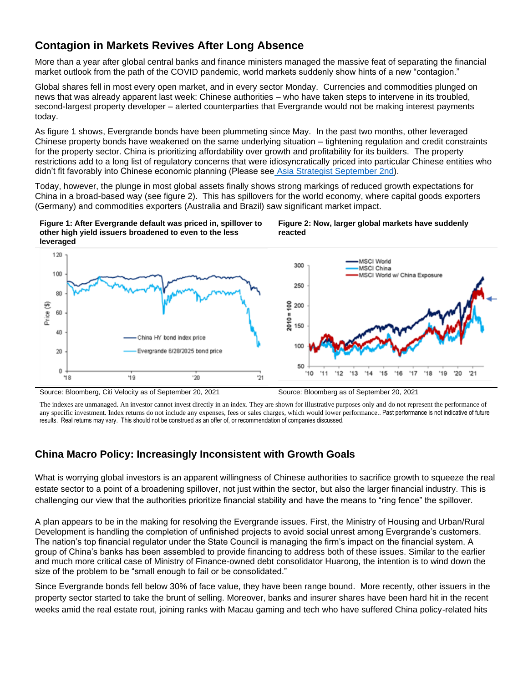## **Contagion in Markets Revives After Long Absence**

More than a year after global central banks and finance ministers managed the massive feat of separating the financial market outlook from the path of the COVID pandemic, world markets suddenly show hints of a new "contagion."

Global shares fell in most every open market, and in every sector Monday. Currencies and commodities plunged on news that was already apparent last week: Chinese authorities – who have taken steps to intervene in its troubled, second-largest property developer – alerted counterparties that Evergrande would not be making interest payments today.

As figure 1 shows, Evergrande bonds have been plummeting since May. In the past two months, other leveraged Chinese property bonds have weakened on the same underlying situation – tightening regulation and credit constraints for the property sector. China is prioritizing affordability over growth and profitability for its builders. The property restrictions add to a long list of regulatory concerns that were idiosyncratically priced into particular Chinese entities who didn't fit favorably into Chinese economic planning (Please see [Asia Strategist September 2nd\)](https://www.privatebank.citibank.com/ivc/docs/quadrant/AsiaStrategist2109.pdf).

Today, however, the plunge in most global assets finally shows strong markings of reduced growth expectations for China in a broad-based way (see figure 2). This has spillovers for the world economy, where capital goods exporters (Germany) and commodities exporters (Australia and Brazil) saw significant market impact.

**Figure 1: After Evergrande default was priced in, spillover to other high yield issuers broadened to even to the less leveraged** 

**Figure 2: Now, larger global markets have suddenly reacted**



Source: Bloomberg, Citi Velocity as of September 20, 2021 Source: Bloomberg as of September 20, 2021

The indexes are unmanaged. An investor cannot invest directly in an index. They are shown for illustrative purposes only and do not represent the performance of any specific investment. Index returns do not include any expenses, fees or sales charges, which would lower performance.. Past performance is not indicative of future results. Real returns may vary. This should not be construed as an offer of, or recommendation of companies discussed.

## **China Macro Policy: Increasingly Inconsistent with Growth Goals**

What is worrying global investors is an apparent willingness of Chinese authorities to sacrifice growth to squeeze the real estate sector to a point of a broadening spillover, not just within the sector, but also the larger financial industry. This is challenging our view that the authorities prioritize financial stability and have the means to "ring fence" the spillover.

A plan appears to be in the making for resolving the Evergrande issues. First, the Ministry of Housing and Urban/Rural Development is handling the completion of unfinished projects to avoid social unrest among Evergrande's customers. The nation's top financial regulator under the State Council is managing the firm's impact on the financial system. A group of China's banks has been assembled to provide financing to address both of these issues. Similar to the earlier and much more critical case of Ministry of Finance-owned debt consolidator Huarong, the intention is to wind down the size of the problem to be "small enough to fail or be consolidated."

Since Evergrande bonds fell below 30% of face value, they have been range bound. More recently, other issuers in the property sector started to take the brunt of selling. Moreover, banks and insurer shares have been hard hit in the recent weeks amid the real estate rout, joining ranks with Macau gaming and tech who have suffered China policy-related hits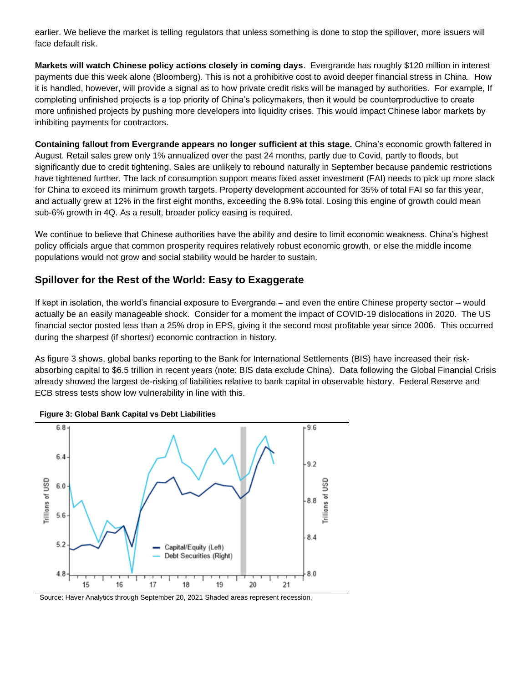earlier. We believe the market is telling regulators that unless something is done to stop the spillover, more issuers will face default risk.

**Markets will watch Chinese policy actions closely in coming days**. Evergrande has roughly \$120 million in interest payments due this week alone (Bloomberg). This is not a prohibitive cost to avoid deeper financial stress in China. How it is handled, however, will provide a signal as to how private credit risks will be managed by authorities. For example, If completing unfinished projects is a top priority of China's policymakers, then it would be counterproductive to create more unfinished projects by pushing more developers into liquidity crises. This would impact Chinese labor markets by inhibiting payments for contractors.

**Containing fallout from Evergrande appears no longer sufficient at this stage.** China's economic growth faltered in August. Retail sales grew only 1% annualized over the past 24 months, partly due to Covid, partly to floods, but significantly due to credit tightening. Sales are unlikely to rebound naturally in September because pandemic restrictions have tightened further. The lack of consumption support means fixed asset investment (FAI) needs to pick up more slack for China to exceed its minimum growth targets. Property development accounted for 35% of total FAI so far this year, and actually grew at 12% in the first eight months, exceeding the 8.9% total. Losing this engine of growth could mean sub-6% growth in 4Q. As a result, broader policy easing is required.

We continue to believe that Chinese authorities have the ability and desire to limit economic weakness. China's highest policy officials argue that common prosperity requires relatively robust economic growth, or else the middle income populations would not grow and social stability would be harder to sustain.

## **Spillover for the Rest of the World: Easy to Exaggerate**

If kept in isolation, the world's financial exposure to Evergrande – and even the entire Chinese property sector – would actually be an easily manageable shock. Consider for a moment the impact of COVID-19 dislocations in 2020. The US financial sector posted less than a 25% drop in EPS, giving it the second most profitable year since 2006. This occurred during the sharpest (if shortest) economic contraction in history.

As figure 3 shows, global banks reporting to the Bank for International Settlements (BIS) have increased their riskabsorbing capital to \$6.5 trillion in recent years (note: BIS data exclude China). Data following the Global Financial Crisis already showed the largest de-risking of liabilities relative to bank capital in observable history. Federal Reserve and ECB stress tests show low vulnerability in line with this.





Source: Haver Analytics through September 20, 2021 Shaded areas represent recession.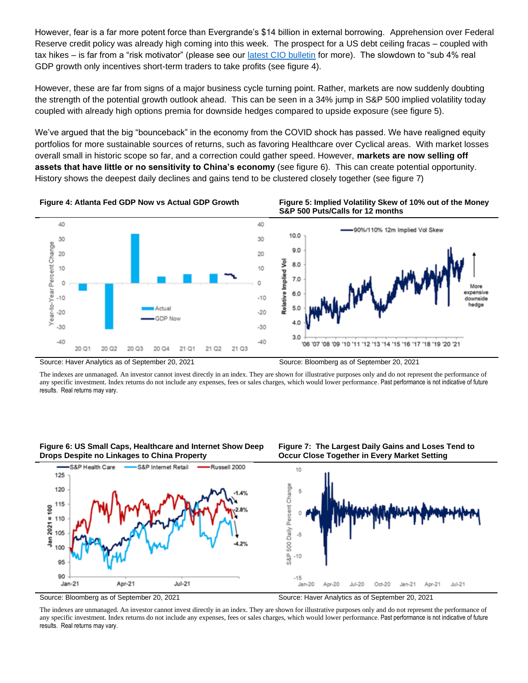However, fear is a far more potent force than Evergrande's \$14 billion in external borrowing. Apprehension over Federal Reserve credit policy was already high coming into this week. The prospect for a US debt ceiling fracas – coupled with tax hikes – is far from a "risk motivator" (please see our [latest CIO bulletin](https://www.privatebank.citibank.com/ivc/docs/quadrant/CIOBulletin09192021.pdf) for more). The slowdown to "sub 4% real GDP growth only incentives short-term traders to take profits (see figure 4).

However, these are far from signs of a major business cycle turning point. Rather, markets are now suddenly doubting the strength of the potential growth outlook ahead. This can be seen in a 34% jump in S&P 500 implied volatility today coupled with already high options premia for downside hedges compared to upside exposure (see figure 5).

We've argued that the big "bounceback" in the economy from the COVID shock has passed. We have realigned equity portfolios for more sustainable sources of returns, such as favoring Healthcare over Cyclical areas. With market losses overall small in historic scope so far, and a correction could gather speed. However, **markets are now selling off assets that have little or no sensitivity to China's economy** (see figure 6). This can create potential opportunity. History shows the deepest daily declines and gains tend to be clustered closely together (see figure 7)



The indexes are unmanaged. An investor cannot invest directly in an index. They are shown for illustrative purposes only and do not represent the performance of any specific investment. Index returns do not include any expenses, fees or sales charges, which would lower performance. Past performance is not indicative of future results. Real returns may vary.

**Figure 6: US Small Caps, Healthcare and Internet Show Deep Drops Despite no Linkages to China Property**







Source: Bloomberg as of September 20, 2021 Source: Haver Analytics as of September 20, 2021

The indexes are unmanaged. An investor cannot invest directly in an index. They are shown for illustrative purposes only and do not represent the performance of any specific investment. Index returns do not include any expenses, fees or sales charges, which would lower performance. Past performance is not indicative of future results. Real returns may vary.